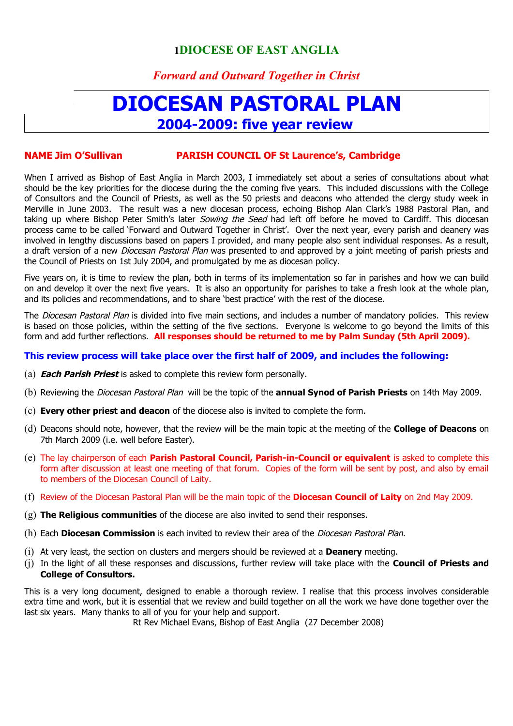## **1DIOCESE OF EAST ANGLIA**

## *Forward and Outward Together in Christ*

# **DIOCESAN PASTORAL PLAN 2004-2009: five year review**

#### **NAME Jim O'Sullivan PARISH COUNCIL OF St Laurence's, Cambridge**

When I arrived as Bishop of East Anglia in March 2003, I immediately set about a series of consultations about what should be the key priorities for the diocese during the the coming five years. This included discussions with the College of Consultors and the Council of Priests, as well as the 50 priests and deacons who attended the clergy study week in Merville in June 2003. The result was a new diocesan process, echoing Bishop Alan Clark's 1988 Pastoral Plan, and taking up where Bishop Peter Smith's later Sowing the Seed had left off before he moved to Cardiff. This diocesan process came to be called 'Forward and Outward Together in Christ'. Over the next year, every parish and deanery was involved in lengthy discussions based on papers I provided, and many people also sent individual responses. As a result, a draft version of a new *Diocesan Pastoral Plan* was presented to and approved by a joint meeting of parish priests and the Council of Priests on 1st July 2004, and promulgated by me as diocesan policy.

Five years on, it is time to review the plan, both in terms of its implementation so far in parishes and how we can build on and develop it over the next five years. It is also an opportunity for parishes to take a fresh look at the whole plan, and its policies and recommendations, and to share 'best practice' with the rest of the diocese.

The Diocesan Pastoral Plan is divided into five main sections, and includes a number of mandatory policies. This review is based on those policies, within the setting of the five sections. Everyone is welcome to go beyond the limits of this form and add further reflections. **All responses should be returned to me by Palm Sunday (5th April 2009).**

#### **This review process will take place over the first half of 2009, and includes the following:**

- (a) **Each Parish Priest** is asked to complete this review form personally.
- (b) Reviewing the Diocesan Pastoral Plan will be the topic of the **annual Synod of Parish Priests** on 14th May 2009.
- (c) **Every other priest and deacon** of the diocese also is invited to complete the form.
- (d) Deacons should note, however, that the review will be the main topic at the meeting of the **College of Deacons** on 7th March 2009 (i.e. well before Easter).
- (e) The lay chairperson of each **Parish Pastoral Council, Parish-in-Council or equivalent** is asked to complete this form after discussion at least one meeting of that forum. Copies of the form will be sent by post, and also by email to members of the Diocesan Council of Laity.
- (f) Review of the Diocesan Pastoral Plan will be the main topic of the **Diocesan Council of Laity** on 2nd May 2009.
- (g) **The Religious communities** of the diocese are also invited to send their responses.
- (h) Each **Diocesan Commission** is each invited to review their area of the Diocesan Pastoral Plan.
- (i) At very least, the section on clusters and mergers should be reviewed at a **Deanery** meeting.
- (j) In the light of all these responses and discussions, further review will take place with the **Council of Priests and College of Consultors.**

This is a very long document, designed to enable a thorough review. I realise that this process involves considerable extra time and work, but it is essential that we review and build together on all the work we have done together over the last six years. Many thanks to all of you for your help and support.

Rt Rev Michael Evans, Bishop of East Anglia (27 December 2008)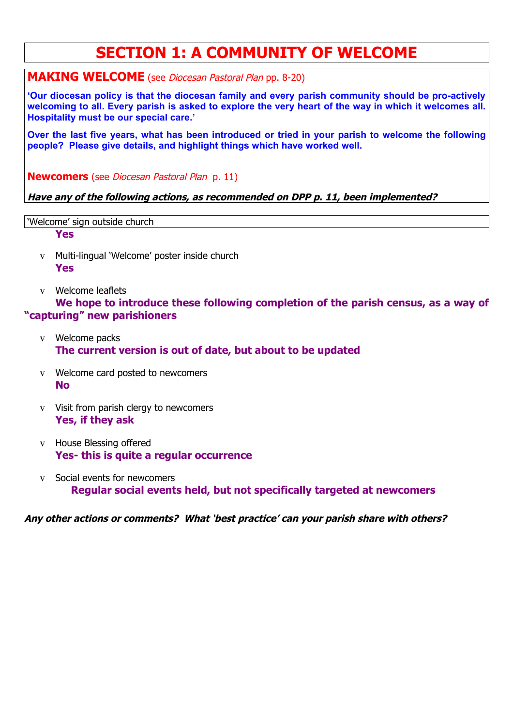# **SECTION 1: A COMMUNITY OF WELCOME**

**MAKING WELCOME** (see Diocesan Pastoral Plan pp. 8-20)

**'Our diocesan policy is that the diocesan family and every parish community should be pro-actively welcoming to all. Every parish is asked to explore the very heart of the way in which it welcomes all. Hospitality must be our special care.'**

**Over the last five years, what has been introduced or tried in your parish to welcome the following people? Please give details, and highlight things which have worked well.**

**Newcomers** (see Diocesan Pastoral Plan p. 11)

## **Have any of the following actions, as recommended on DPP p. 11, been implemented?**

'Welcome' sign outside church

**Yes**

- v Multi-lingual 'Welcome' poster inside church **Yes**
- v Welcome leaflets

**We hope to introduce these following completion of the parish census, as a way of "capturing" new parishioners**

- v Welcome packs **The current version is out of date, but about to be updated**
- v Welcome card posted to newcomers **No**
- v Visit from parish clergy to newcomers **Yes, if they ask**
- v House Blessing offered **Yes- this is quite a regular occurrence**
- v Social events for newcomers **Regular social events held, but not specifically targeted at newcomers**

**Any other actions or comments? What 'best practice' can your parish share with others?**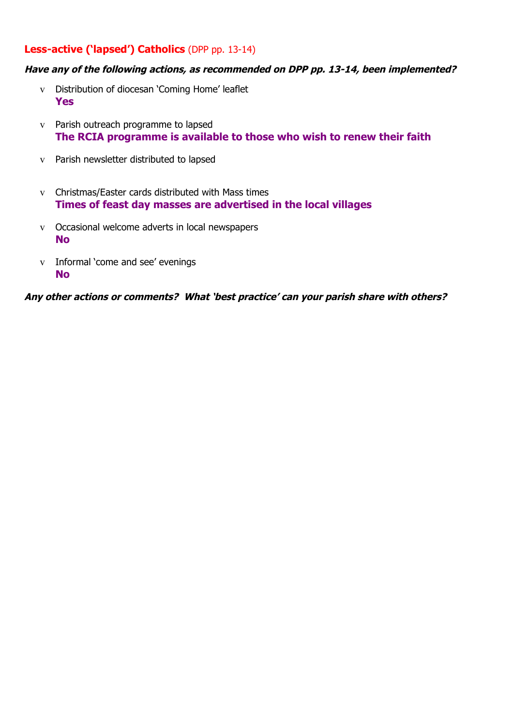## **Less-active ('lapsed') Catholics** (DPP pp. 13-14)

## **Have any of the following actions, as recommended on DPP pp. 13-14, been implemented?**

- v Distribution of diocesan 'Coming Home' leaflet **Yes**
- v Parish outreach programme to lapsed **The RCIA programme is available to those who wish to renew their faith**
- v Parish newsletter distributed to lapsed
- v Christmas/Easter cards distributed with Mass times **Times of feast day masses are advertised in the local villages**
- v Occasional welcome adverts in local newspapers **No**
- v Informal 'come and see' evenings **No**

**Any other actions or comments? What 'best practice' can your parish share with others?**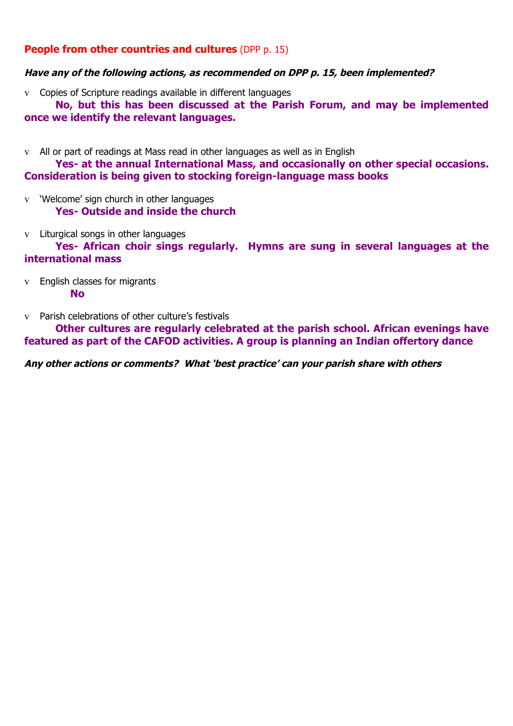## **People from other countries and cultures** (DPP p. 15)

## **Have any of the following actions, as recommended on DPP p. 15, been implemented?**

v Copies of Scripture readings available in different languages

**No, but this has been discussed at the Parish Forum, and may be implemented once we identify the relevant languages.** 

v All or part of readings at Mass read in other languages as well as in English

**Yes- at the annual International Mass, and occasionally on other special occasions. Consideration is being given to stocking foreign-language mass books**

- v 'Welcome' sign church in other languages **Yes- Outside and inside the church**
- v Liturgical songs in other languages

**Yes- African choir sings regularly. Hymns are sung in several languages at the international mass**

- v English classes for migrants **No**
- v Parish celebrations of other culture's festivals

**Other cultures are regularly celebrated at the parish school. African evenings have featured as part of the CAFOD activities. A group is planning an Indian offertory dance**

**Any other actions or comments? What 'best practice' can your parish share with others**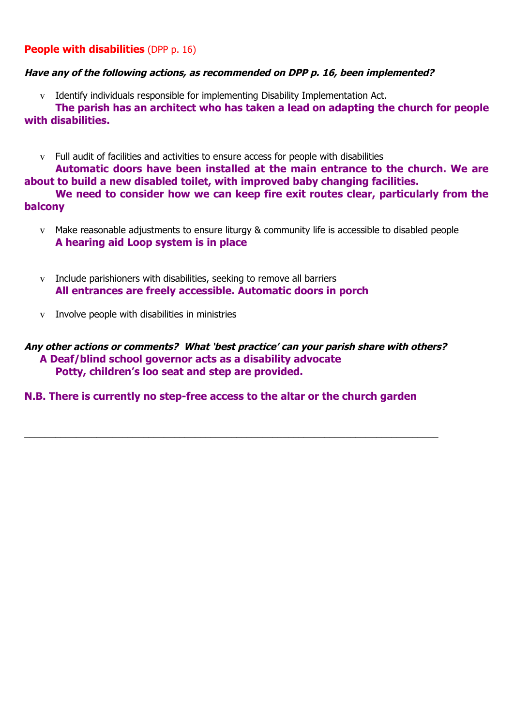## **People with disabilities** (DPP p. 16)

## **Have any of the following actions, as recommended on DPP p. 16, been implemented?**

v Identify individuals responsible for implementing Disability Implementation Act.

**The parish has an architect who has taken a lead on adapting the church for people with disabilities.**

v Full audit of facilities and activities to ensure access for people with disabilities **Automatic doors have been installed at the main entrance to the church. We are about to build a new disabled toilet, with improved baby changing facilities.**

**We need to consider how we can keep fire exit routes clear, particularly from the balcony**

- v Make reasonable adjustments to ensure liturgy & community life is accessible to disabled people **A hearing aid Loop system is in place**
- v Include parishioners with disabilities, seeking to remove all barriers **All entrances are freely accessible. Automatic doors in porch**
- v Involve people with disabilities in ministries

## **Any other actions or comments? What 'best practice' can your parish share with others? A Deaf/blind school governor acts as a disability advocate Potty, children's loo seat and step are provided.**

## **N.B. There is currently no step-free access to the altar or the church garden**

 $\_$  ,  $\_$  ,  $\_$  ,  $\_$  ,  $\_$  ,  $\_$  ,  $\_$  ,  $\_$  ,  $\_$  ,  $\_$  ,  $\_$  ,  $\_$  ,  $\_$  ,  $\_$  ,  $\_$  ,  $\_$  ,  $\_$  ,  $\_$  ,  $\_$  ,  $\_$  ,  $\_$  ,  $\_$  ,  $\_$  ,  $\_$  ,  $\_$  ,  $\_$  ,  $\_$  ,  $\_$  ,  $\_$  ,  $\_$  ,  $\_$  ,  $\_$  ,  $\_$  ,  $\_$  ,  $\_$  ,  $\_$  ,  $\_$  ,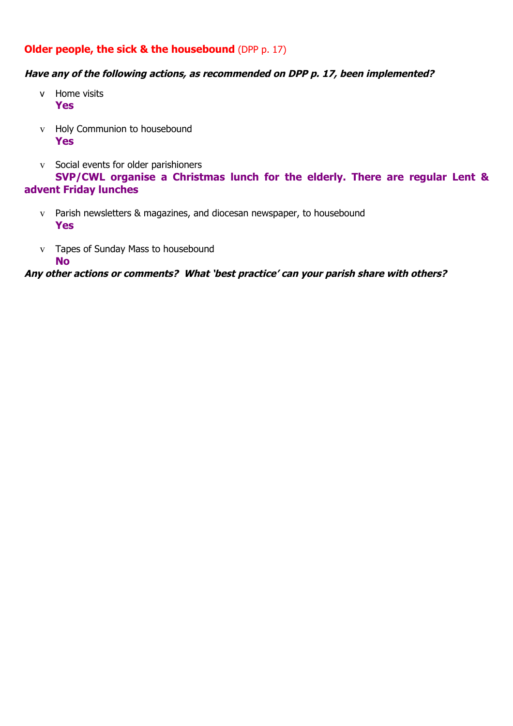## **Older people, the sick & the housebound** (DPP p. 17)

## **Have any of the following actions, as recommended on DPP p. 17, been implemented?**

- v Home visits **Yes**
- v Holy Communion to housebound **Yes**
- v Social events for older parishioners **SVP/CWL organise a Christmas lunch for the elderly. There are regular Lent & advent Friday lunches**
	- v Parish newsletters & magazines, and diocesan newspaper, to housebound **Yes**
	- v Tapes of Sunday Mass to housebound **No**

**Any other actions or comments? What 'best practice' can your parish share with others?**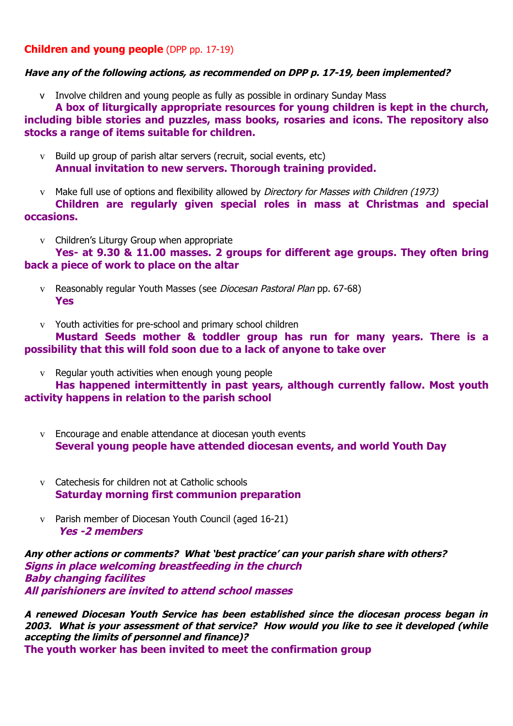## **Children and young people** (DPP pp. 17-19)

## **Have any of the following actions, as recommended on DPP p. 17-19, been implemented?**

v Involve children and young people as fully as possible in ordinary Sunday Mass

**A box of liturgically appropriate resources for young children is kept in the church, including bible stories and puzzles, mass books, rosaries and icons. The repository also stocks a range of items suitable for children.**

- v Build up group of parish altar servers (recruit, social events, etc) **Annual invitation to new servers. Thorough training provided.**
- v Make full use of options and flexibility allowed by Directory for Masses with Children (1973) **Children are regularly given special roles in mass at Christmas and special occasions.**
	- v Children's Liturgy Group when appropriate

**Yes- at 9.30 & 11.00 masses. 2 groups for different age groups. They often bring back a piece of work to place on the altar**

- v Reasonably regular Youth Masses (see Diocesan Pastoral Plan pp. 67-68) **Yes**
- v Youth activities for pre-school and primary school children

## **Mustard Seeds mother & toddler group has run for many years. There is a possibility that this will fold soon due to a lack of anyone to take over**

v Regular youth activities when enough young people

**Has happened intermittently in past years, although currently fallow. Most youth activity happens in relation to the parish school**

- v Encourage and enable attendance at diocesan youth events **Several young people have attended diocesan events, and world Youth Day**
- v Catechesis for children not at Catholic schools **Saturday morning first communion preparation**
- v Parish member of Diocesan Youth Council (aged 16-21) **Yes -2 members**

**Any other actions or comments? What 'best practice' can your parish share with others? Signs in place welcoming breastfeeding in the church Baby changing facilites All parishioners are invited to attend school masses**

**A renewed Diocesan Youth Service has been established since the diocesan process began in 2003. What is your assessment of that service? How would you like to see it developed (while accepting the limits of personnel and finance)? The youth worker has been invited to meet the confirmation group**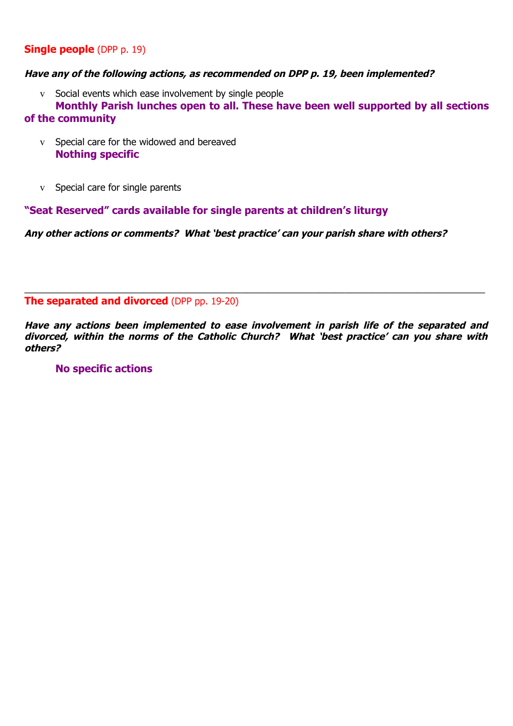## **Single people** (DPP p. 19)

## **Have any of the following actions, as recommended on DPP p. 19, been implemented?**

v Social events which ease involvement by single people

**Monthly Parish lunches open to all. These have been well supported by all sections of the community**

- v Special care for the widowed and bereaved **Nothing specific**
- v Special care for single parents

**"Seat Reserved" cards available for single parents at children's liturgy**

**Any other actions or comments? What 'best practice' can your parish share with others?**

**The separated and divorced** (DPP pp. 19-20)

**Have any actions been implemented to ease involvement in parish life of the separated and divorced, within the norms of the Catholic Church? What 'best practice' can you share with others?**

\_\_\_\_\_\_\_\_\_\_\_\_\_\_\_\_\_\_\_\_\_\_\_\_\_\_\_\_\_\_\_\_\_\_\_\_\_\_\_\_\_\_\_\_\_\_\_\_\_\_\_\_\_\_\_\_\_\_\_\_\_\_\_\_\_\_\_\_\_\_\_\_\_\_\_\_\_\_\_\_\_\_\_\_\_\_\_\_\_

## **No specific actions**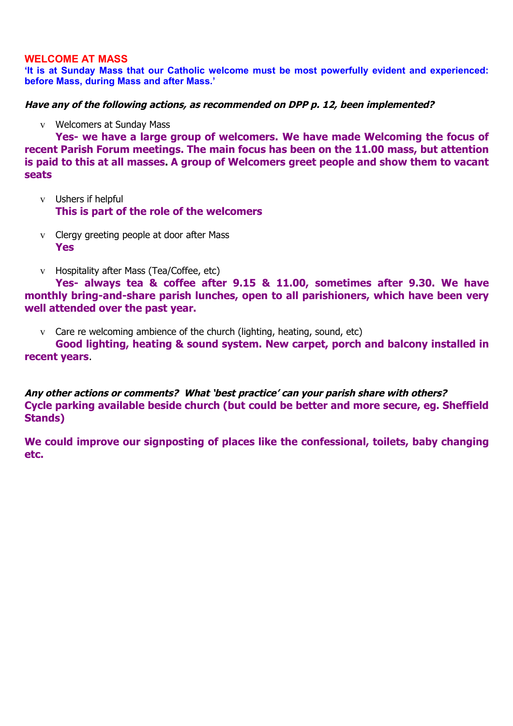## **WELCOME AT MASS**

**'It is at Sunday Mass that our Catholic welcome must be most powerfully evident and experienced: before Mass, during Mass and after Mass.'**

**Have any of the following actions, as recommended on DPP p. 12, been implemented?** 

v Welcomers at Sunday Mass

**Yes- we have a large group of welcomers. We have made Welcoming the focus of recent Parish Forum meetings. The main focus has been on the 11.00 mass, but attention is paid to this at all masses. A group of Welcomers greet people and show them to vacant seats**

- v Ushers if helpful **This is part of the role of the welcomers**
- v Clergy greeting people at door after Mass **Yes**
- v Hospitality after Mass (Tea/Coffee, etc)

**Yes- always tea & coffee after 9.15 & 11.00, sometimes after 9.30. We have monthly bring-and-share parish lunches, open to all parishioners, which have been very well attended over the past year.**

v Care re welcoming ambience of the church (lighting, heating, sound, etc)

**Good lighting, heating & sound system. New carpet, porch and balcony installed in recent years**.

**Any other actions or comments? What 'best practice' can your parish share with others? Cycle parking available beside church (but could be better and more secure, eg. Sheffield Stands)**

**We could improve our signposting of places like the confessional, toilets, baby changing etc.**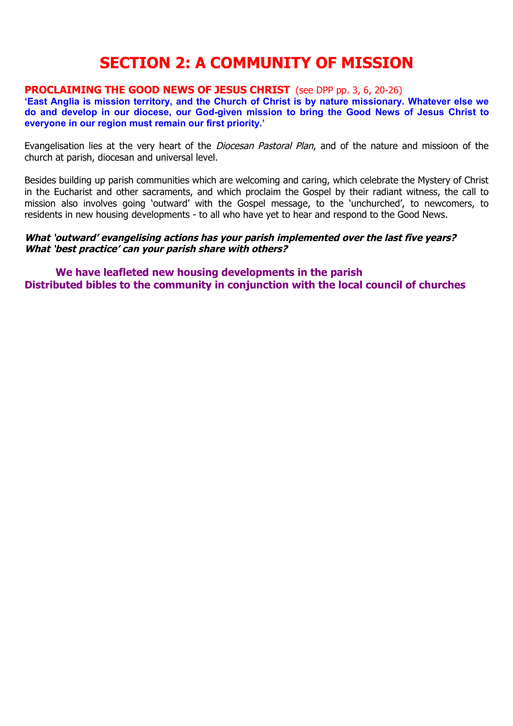# **SECTION 2: A COMMUNITY OF MISSION**

## **PROCLAIMING THE GOOD NEWS OF JESUS CHRIST** (see DPP pp. 3, 6, 20-26)

**'East Anglia is mission territory, and the Church of Christ is by nature missionary. Whatever else we do and develop in our diocese, our God-given mission to bring the Good News of Jesus Christ to everyone in our region must remain our first priority.'** 

Evangelisation lies at the very heart of the *Diocesan Pastoral Plan*, and of the nature and missioon of the church at parish, diocesan and universal level.

Besides building up parish communities which are welcoming and caring, which celebrate the Mystery of Christ in the Eucharist and other sacraments, and which proclaim the Gospel by their radiant witness, the call to mission also involves going 'outward' with the Gospel message, to the 'unchurched', to newcomers, to residents in new housing developments - to all who have yet to hear and respond to the Good News.

## **What 'outward' evangelising actions has your parish implemented over the last five years? What 'best practice' can your parish share with others?**

**We have leafleted new housing developments in the parish Distributed bibles to the community in conjunction with the local council of churches**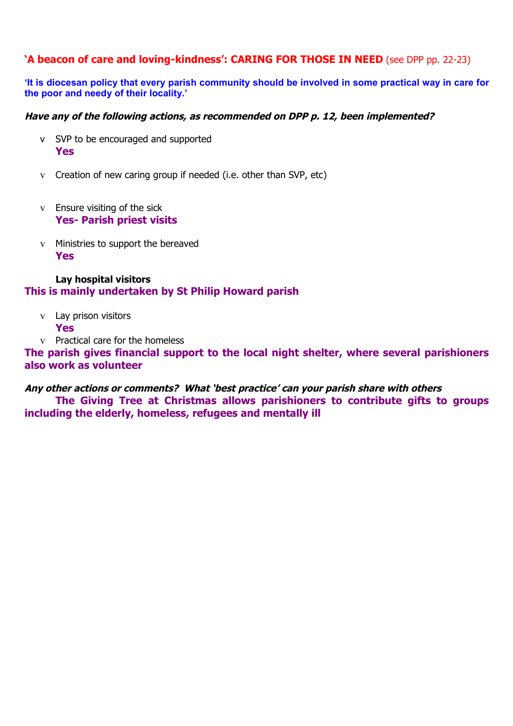## **'A beacon of care and loving-kindness': CARING FOR THOSE IN NEED** (see DPP pp. 22-23)

**'It is diocesan policy that every parish community should be involved in some practical way in care for the poor and needy of their locality.'**

## **Have any of the following actions, as recommended on DPP p. 12, been implemented?**

- v SVP to be encouraged and supported **Yes**
- v Creation of new caring group if needed (i.e. other than SVP, etc)
- v Ensure visiting of the sick **Yes- Parish priest visits**
- v Ministries to support the bereaved **Yes**

## **Lay hospital visitors This is mainly undertaken by St Philip Howard parish**

- v Lay prison visitors **Yes**
- v Practical care for the homeless

**The parish gives financial support to the local night shelter, where several parishioners also work as volunteer**

#### **Any other actions or comments? What 'best practice' can your parish share with others**

**The Giving Tree at Christmas allows parishioners to contribute gifts to groups including the elderly, homeless, refugees and mentally ill**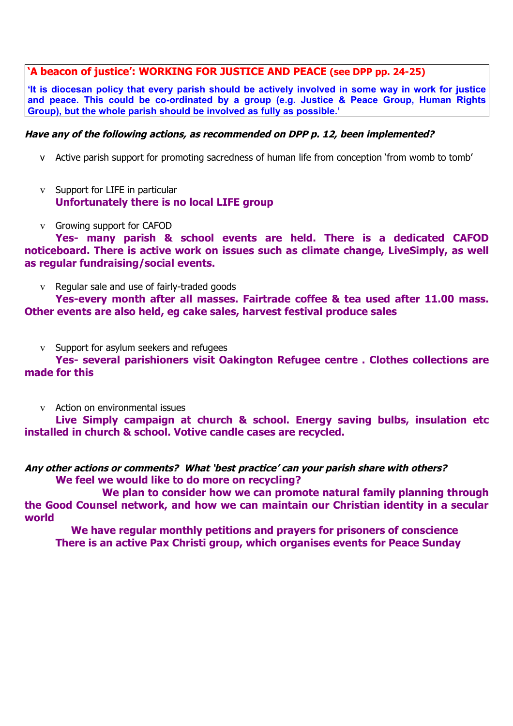## **'A beacon of justice': WORKING FOR JUSTICE AND PEACE (see DPP pp. 24-25)**

**'It is diocesan policy that every parish should be actively involved in some way in work for justice and peace. This could be co-ordinated by a group (e.g. Justice & Peace Group, Human Rights Group), but the whole parish should be involved as fully as possible.'** 

## **Have any of the following actions, as recommended on DPP p. 12, been implemented?**

- v Active parish support for promoting sacredness of human life from conception 'from womb to tomb'
- v Support for LIFE in particular **Unfortunately there is no local LIFE group**
- v Growing support for CAFOD

**Yes- many parish & school events are held. There is a dedicated CAFOD noticeboard. There is active work on issues such as climate change, LiveSimply, as well as regular fundraising/social events.**

v Regular sale and use of fairly-traded goods

**Yes-every month after all masses. Fairtrade coffee & tea used after 11.00 mass. Other events are also held, eg cake sales, harvest festival produce sales**

v Support for asylum seekers and refugees

**Yes- several parishioners visit Oakington Refugee centre . Clothes collections are made for this**

v Action on environmental issues

**Live Simply campaign at church & school. Energy saving bulbs, insulation etc installed in church & school. Votive candle cases are recycled.** 

**Any other actions or comments? What 'best practice' can your parish share with others? We feel we would like to do more on recycling?**

**We plan to consider how we can promote natural family planning through the Good Counsel network, and how we can maintain our Christian identity in a secular world**

**We have regular monthly petitions and prayers for prisoners of conscience There is an active Pax Christi group, which organises events for Peace Sunday**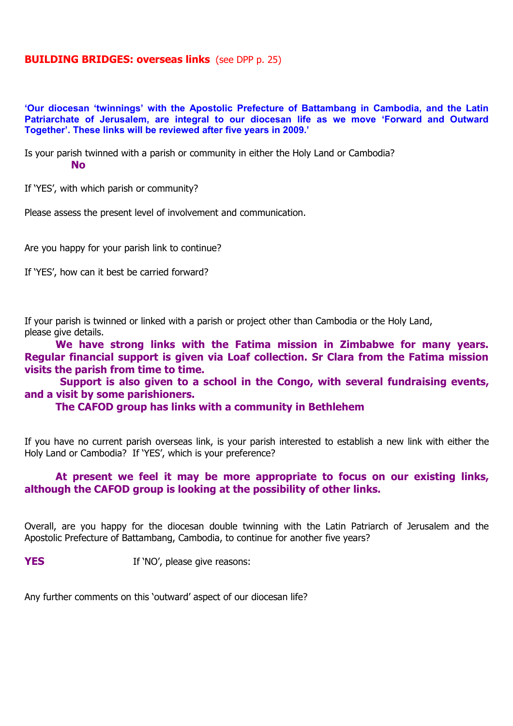## **BUILDING BRIDGES: overseas links** (see DPP p. 25)

**'Our diocesan 'twinnings' with the Apostolic Prefecture of Battambang in Cambodia, and the Latin Patriarchate of Jerusalem, are integral to our diocesan life as we move 'Forward and Outward Together'. These links will be reviewed after five years in 2009.'**

Is your parish twinned with a parish or community in either the Holy Land or Cambodia? **No**

If 'YES', with which parish or community?

Please assess the present level of involvement and communication.

Are you happy for your parish link to continue?

If 'YES', how can it best be carried forward?

If your parish is twinned or linked with a parish or project other than Cambodia or the Holy Land, please give details.

**We have strong links with the Fatima mission in Zimbabwe for many years. Regular financial support is given via Loaf collection. Sr Clara from the Fatima mission visits the parish from time to time.**

 **Support is also given to a school in the Congo, with several fundraising events, and a visit by some parishioners.**

**The CAFOD group has links with a community in Bethlehem**

If you have no current parish overseas link, is your parish interested to establish a new link with either the Holy Land or Cambodia? If 'YES', which is your preference?

## **At present we feel it may be more appropriate to focus on our existing links, although the CAFOD group is looking at the possibility of other links.**

Overall, are you happy for the diocesan double twinning with the Latin Patriarch of Jerusalem and the Apostolic Prefecture of Battambang, Cambodia, to continue for another five years?

**YES** If 'NO', please give reasons:

Any further comments on this 'outward' aspect of our diocesan life?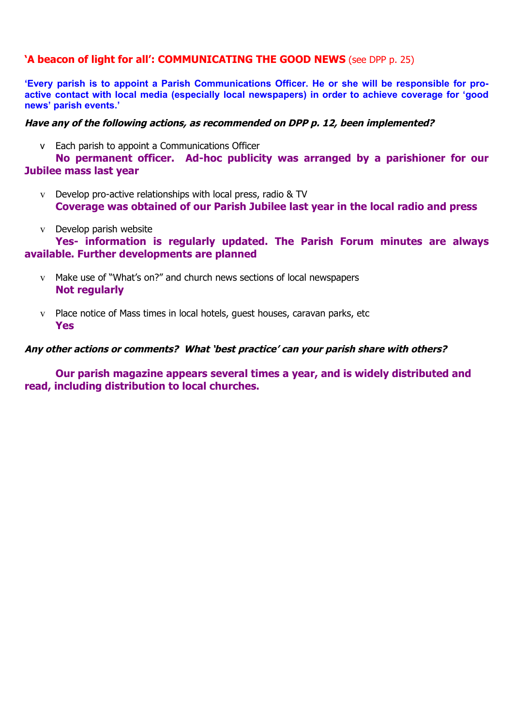## **'A beacon of light for all': COMMUNICATING THE GOOD NEWS** (see DPP p. 25)

**'Every parish is to appoint a Parish Communications Officer. He or she will be responsible for proactive contact with local media (especially local newspapers) in order to achieve coverage for 'good news' parish events.'** 

## **Have any of the following actions, as recommended on DPP p. 12, been implemented?**

v Each parish to appoint a Communications Officer

**No permanent officer. Ad-hoc publicity was arranged by a parishioner for our Jubilee mass last year**

- v Develop pro-active relationships with local press, radio & TV **Coverage was obtained of our Parish Jubilee last year in the local radio and press**
- v Develop parish website

**Yes- information is regularly updated. The Parish Forum minutes are always available. Further developments are planned**

- v Make use of "What's on?" and church news sections of local newspapers **Not regularly**
- v Place notice of Mass times in local hotels, guest houses, caravan parks, etc **Yes**

## **Any other actions or comments? What 'best practice' can your parish share with others?**

**Our parish magazine appears several times a year, and is widely distributed and read, including distribution to local churches.**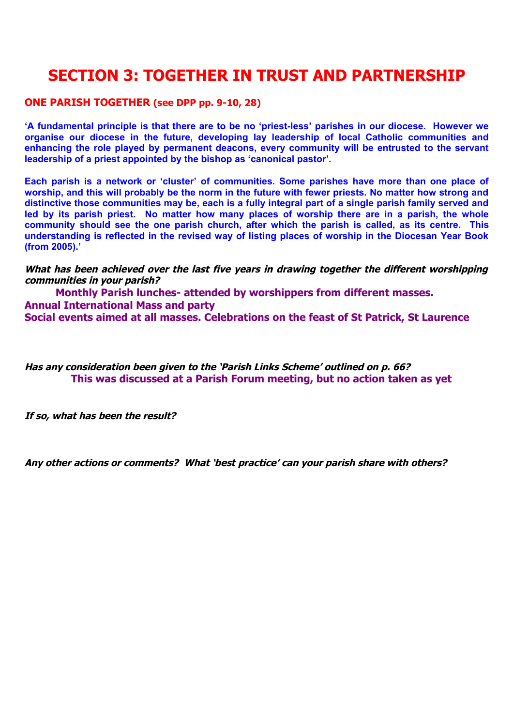# **SECTION 3: TOGETHER IN TRUST AND PARTNERSHIP**

## **ONE PARISH TOGETHER (see DPP pp. 9-10, 28)**

**'A fundamental principle is that there are to be no 'priest-less' parishes in our diocese. However we organise our diocese in the future, developing lay leadership of local Catholic communities and enhancing the role played by permanent deacons, every community will be entrusted to the servant leadership of a priest appointed by the bishop as 'canonical pastor'.**

**Each parish is a network or 'cluster' of communities. Some parishes have more than one place of worship, and this will probably be the norm in the future with fewer priests. No matter how strong and distinctive those communities may be, each is a fully integral part of a single parish family served and led by its parish priest. No matter how many places of worship there are in a parish, the whole community should see the one parish church, after which the parish is called, as its centre. This understanding is reflected in the revised way of listing places of worship in the Diocesan Year Book (from 2005).'**

**What has been achieved over the last five years in drawing together the different worshipping communities in your parish?**

**Monthly Parish lunches- attended by worshippers from different masses. Annual International Mass and party Social events aimed at all masses. Celebrations on the feast of St Patrick, St Laurence**

**Has any consideration been given to the 'Parish Links Scheme' outlined on p. 66? This was discussed at a Parish Forum meeting, but no action taken as yet**

**If so, what has been the result?**

**Any other actions or comments? What 'best practice' can your parish share with others?**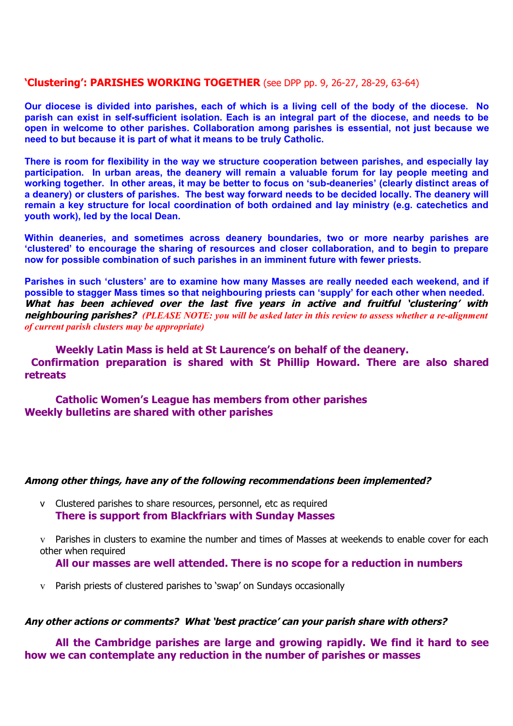## **'Clustering': PARISHES WORKING TOGETHER** (see DPP pp. 9, 26-27, 28-29, 63-64)

**Our diocese is divided into parishes, each of which is a living cell of the body of the diocese. No parish can exist in self-sufficient isolation. Each is an integral part of the diocese, and needs to be open in welcome to other parishes. Collaboration among parishes is essential, not just because we need to but because it is part of what it means to be truly Catholic.**

**There is room for flexibility in the way we structure cooperation between parishes, and especially lay participation. In urban areas, the deanery will remain a valuable forum for lay people meeting and working together. In other areas, it may be better to focus on 'sub-deaneries' (clearly distinct areas of a deanery) or clusters of parishes. The best way forward needs to be decided locally. The deanery will remain a key structure for local coordination of both ordained and lay ministry (e.g. catechetics and youth work), led by the local Dean.** 

**Within deaneries, and sometimes across deanery boundaries, two or more nearby parishes are 'clustered' to encourage the sharing of resources and closer collaboration, and to begin to prepare now for possible combination of such parishes in an imminent future with fewer priests.** 

**Parishes in such 'clusters' are to examine how many Masses are really needed each weekend, and if possible to stagger Mass times so that neighbouring priests can 'supply' for each other when needed.** What has been achieved over the last five years in active and fruitful 'clustering' with **neighbouring parishes?** *(PLEASE NOTE: you will be asked later in this review to assess whether a re-alignment of current parish clusters may be appropriate)*

**Weekly Latin Mass is held at St Laurence's on behalf of the deanery. Confirmation preparation is shared with St Phillip Howard. There are also shared retreats**

**Catholic Women's League has members from other parishes Weekly bulletins are shared with other parishes**

#### **Among other things, have any of the following recommendations been implemented?**

v Clustered parishes to share resources, personnel, etc as required **There is support from Blackfriars with Sunday Masses**

Parishes in clusters to examine the number and times of Masses at weekends to enable cover for each other when required

**All our masses are well attended. There is no scope for a reduction in numbers**

v Parish priests of clustered parishes to 'swap' on Sundays occasionally

#### **Any other actions or comments? What 'best practice' can your parish share with others?**

**All the Cambridge parishes are large and growing rapidly. We find it hard to see how we can contemplate any reduction in the number of parishes or masses**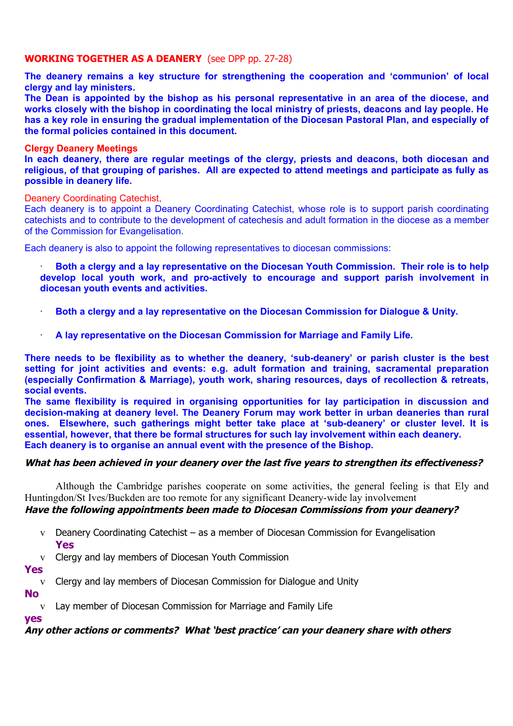## **WORKING TOGETHER AS A DEANERY** (see DPP pp. 27-28)

**The deanery remains a key structure for strengthening the cooperation and 'communion' of local clergy and lay ministers.**

**The Dean is appointed by the bishop as his personal representative in an area of the diocese, and works closely with the bishop in coordinating the local ministry of priests, deacons and lay people. He has a key role in ensuring the gradual implementation of the Diocesan Pastoral Plan, and especially of the formal policies contained in this document.**

#### **Clergy Deanery Meetings**

**In each deanery, there are regular meetings of the clergy, priests and deacons, both diocesan and religious, of that grouping of parishes. All are expected to attend meetings and participate as fully as possible in deanery life.**

#### Deanery Coordinating Catechist,

Each deanery is to appoint a Deanery Coordinating Catechist, whose role is to support parish coordinating catechists and to contribute to the development of catechesis and adult formation in the diocese as a member of the Commission for Evangelisation.

Each deanery is also to appoint the following representatives to diocesan commissions:

· **Both a clergy and a lay representative on the Diocesan Youth Commission. Their role is to help develop local youth work, and pro-actively to encourage and support parish involvement in diocesan youth events and activities.**

- · **Both a clergy and a lay representative on the Diocesan Commission for Dialogue & Unity.**
	- · **A lay representative on the Diocesan Commission for Marriage and Family Life.**

**There needs to be flexibility as to whether the deanery, 'sub-deanery' or parish cluster is the best setting for joint activities and events: e.g. adult formation and training, sacramental preparation (especially Confirmation & Marriage), youth work, sharing resources, days of recollection & retreats, social events.** 

**The same flexibility is required in organising opportunities for lay participation in discussion and decision-making at deanery level. The Deanery Forum may work better in urban deaneries than rural ones. Elsewhere, such gatherings might better take place at 'sub-deanery' or cluster level. It is essential, however, that there be formal structures for such lay involvement within each deanery. Each deanery is to organise an annual event with the presence of the Bishop.**

#### **What has been achieved in your deanery over the last five years to strengthen its effectiveness?**

Although the Cambridge parishes cooperate on some activities, the general feeling is that Ely and Huntingdon/St Ives/Buckden are too remote for any significant Deanery-wide lay involvement

## **Have the following appointments been made to Diocesan Commissions from your deanery?**

- v Deanery Coordinating Catechist as a member of Diocesan Commission for Evangelisation **Yes**
- v Clergy and lay members of Diocesan Youth Commission

#### **Yes**

- v Clergy and lay members of Diocesan Commission for Dialogue and Unity
- **No**
	- v Lay member of Diocesan Commission for Marriage and Family Life

## **yes**

**Any other actions or comments? What 'best practice' can your deanery share with others**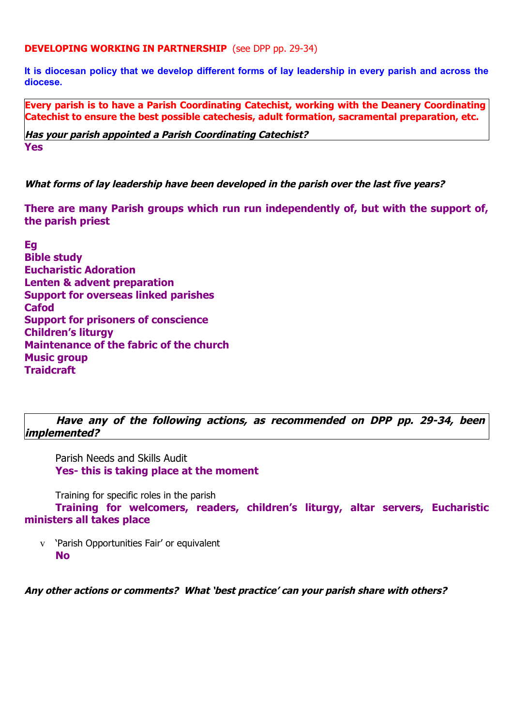**DEVELOPING WORKING IN PARTNERSHIP** (see DPP pp. 29-34)

**It is diocesan policy that we develop different forms of lay leadership in every parish and across the diocese.**

**Every parish is to have a Parish Coordinating Catechist, working with the Deanery Coordinating Catechist to ensure the best possible catechesis, adult formation, sacramental preparation, etc.** 

**Has your parish appointed a Parish Coordinating Catechist? Yes**

**What forms of lay leadership have been developed in the parish over the last five years?**

**There are many Parish groups which run run independently of, but with the support of, the parish priest**

**Eg Bible study Eucharistic Adoration Lenten & advent preparation Support for overseas linked parishes Cafod Support for prisoners of conscience Children's liturgy Maintenance of the fabric of the church Music group Traidcraft**

**Have any of the following actions, as recommended on DPP pp. 29-34, been implemented?** 

Parish Needs and Skills Audit **Yes- this is taking place at the moment**

Training for specific roles in the parish

**Training for welcomers, readers, children's liturgy, altar servers, Eucharistic ministers all takes place**

v 'Parish Opportunities Fair' or equivalent **No**

**Any other actions or comments? What 'best practice' can your parish share with others?**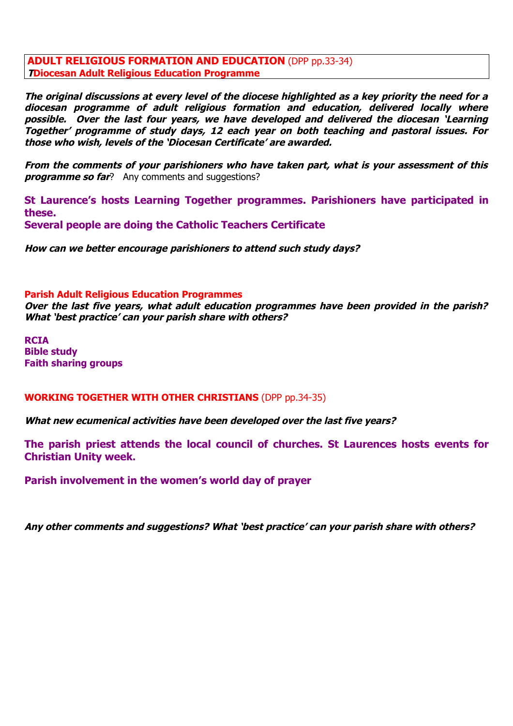**ADULT RELIGIOUS FORMATION AND EDUCATION** (DPP pp.33-34) **TDiocesan Adult Religious Education Programme**

**The original discussions at every level of the diocese highlighted as a key priority the need for a** diocesan programme of adult religious formation and education, delivered locally where **possible. Over the last four years, we have developed and delivered the diocesan 'Learning Together' programme of study days, 12 each year on both teaching and pastoral issues. For those who wish, levels of the 'Diocesan Certificate' are awarded.**

**From the comments of your parishioners who have taken part, what is your assessment of this programme so far**? Any comments and suggestions?

**St Laurence's hosts Learning Together programmes. Parishioners have participated in these. Several people are doing the Catholic Teachers Certificate**

**How can we better encourage parishioners to attend such study days?**

#### **Parish Adult Religious Education Programmes**

**Over the last five years, what adult education programmes have been provided in the parish? What 'best practice' can your parish share with others?**

**RCIA Bible study Faith sharing groups**

#### **WORKING TOGETHER WITH OTHER CHRISTIANS** (DPP pp.34-35)

**What new ecumenical activities have been developed over the last five years?**

**The parish priest attends the local council of churches. St Laurences hosts events for Christian Unity week.** 

**Parish involvement in the women's world day of prayer**

**Any other comments and suggestions? What 'best practice' can your parish share with others?**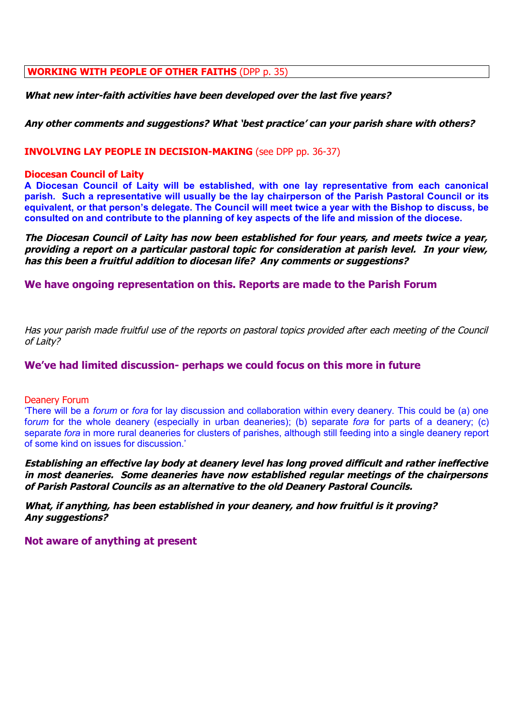### **WORKING WITH PEOPLE OF OTHER FAITHS** (DPP p. 35)

**What new inter-faith activities have been developed over the last five years?**

#### **Any other comments and suggestions? What 'best practice' can your parish share with others?**

**INVOLVING LAY PEOPLE IN DECISION-MAKING** (see DPP pp. 36-37)

#### **Diocesan Council of Laity**

**A Diocesan Council of Laity will be established, with one lay representative from each canonical parish. Such a representative will usually be the lay chairperson of the Parish Pastoral Council or its equivalent, or that person's delegate. The Council will meet twice a year with the Bishop to discuss, be consulted on and contribute to the planning of key aspects of the life and mission of the diocese.**

**The Diocesan Council of Laity has now been established for four years, and meets twice a year, providing a report on a particular pastoral topic for consideration at parish level. In your view, has this been a fruitful addition to diocesan life? Any comments or suggestions?**

**We have ongoing representation on this. Reports are made to the Parish Forum**

Has your parish made fruitful use of the reports on pastoral topics provided after each meeting of the Council of Laity?

#### **We've had limited discussion- perhaps we could focus on this more in future**

#### Deanery Forum

'There will be a *forum* or *fora* for lay discussion and collaboration within every deanery. This could be (a) one f*orum* for the whole deanery (especially in urban deaneries); (b) separate *fora* for parts of a deanery; (c) separate *fora* in more rural deaneries for clusters of parishes, although still feeding into a single deanery report of some kind on issues for discussion.'

**Establishing an effective lay body at deanery level has long proved difficult and rather ineffective in most deaneries. Some deaneries have now established regular meetings of the chairpersons of Parish Pastoral Councils as an alternative to the old Deanery Pastoral Councils.** 

**What, if anything, has been established in your deanery, and how fruitful is it proving? Any suggestions?**

**Not aware of anything at present**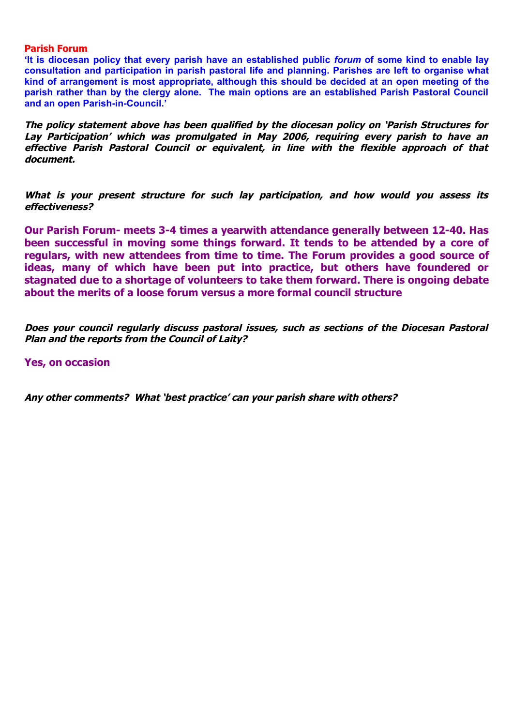#### **Parish Forum**

**'It is diocesan policy that every parish have an established public** *forum* **of some kind to enable lay consultation and participation in parish pastoral life and planning. Parishes are left to organise what kind of arrangement is most appropriate, although this should be decided at an open meeting of the parish rather than by the clergy alone. The main options are an established Parish Pastoral Council and an open Parish-in-Council.'**

**The policy statement above has been qualified by the diocesan policy on 'Parish Structures for** Lay Participation' which was promulgated in May 2006, requiring every parish to have an effective Parish Pastoral Council or equivalent, in line with the flexible approach of that **document.** 

What is your present structure for such lay participation, and how would you assess its **effectiveness?**

**Our Parish Forum- meets 3-4 times a yearwith attendance generally between 12-40. Has been successful in moving some things forward. It tends to be attended by a core of regulars, with new attendees from time to time. The Forum provides a good source of ideas, many of which have been put into practice, but others have foundered or stagnated due to a shortage of volunteers to take them forward. There is ongoing debate about the merits of a loose forum versus a more formal council structure** 

**Does your council regularly discuss pastoral issues, such as sections of the Diocesan Pastoral Plan and the reports from the Council of Laity?**

**Yes, on occasion**

**Any other comments? What 'best practice' can your parish share with others?**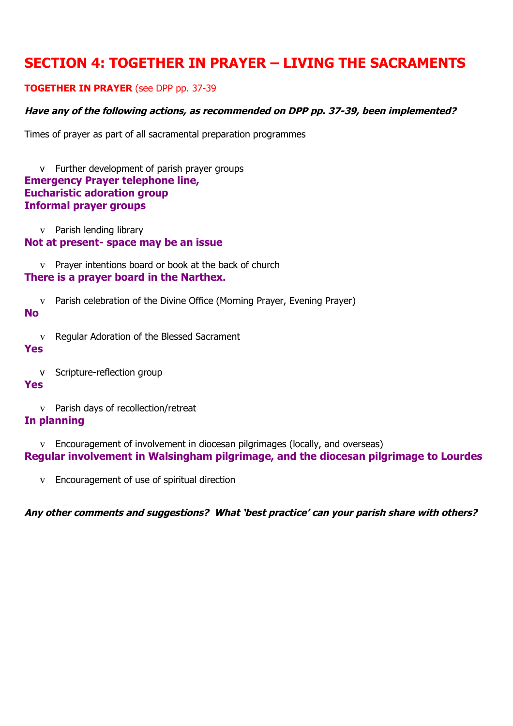## **SECTION 4: TOGETHER IN PRAYER – LIVING THE SACRAMENTS**

## **TOGETHER IN PRAYER** (see DPP pp. 37-39

## **Have any of the following actions, as recommended on DPP pp. 37-39, been implemented?**

Times of prayer as part of all sacramental preparation programmes

v Further development of parish prayer groups **Emergency Prayer telephone line, Eucharistic adoration group Informal prayer groups**

v Parish lending library

**Not at present- space may be an issue**

v Prayer intentions board or book at the back of church

## **There is a prayer board in the Narthex.**

v Parish celebration of the Divine Office (Morning Prayer, Evening Prayer)

#### **No**

v Regular Adoration of the Blessed Sacrament

## **Yes**

v Scripture-reflection group

## **Yes**

v Parish days of recollection/retreat

## **In planning**

v Encouragement of involvement in diocesan pilgrimages (locally, and overseas) **Regular involvement in Walsingham pilgrimage, and the diocesan pilgrimage to Lourdes**

v Encouragement of use of spiritual direction

**Any other comments and suggestions? What 'best practice' can your parish share with others?**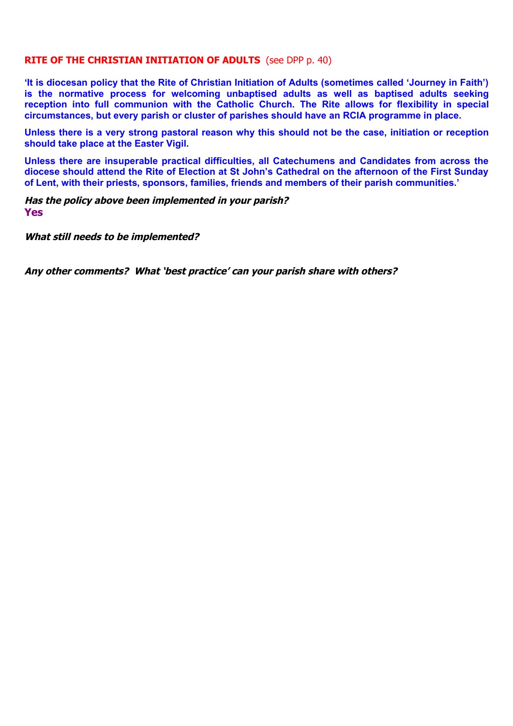### **RITE OF THE CHRISTIAN INITIATION OF ADULTS** (see DPP p. 40)

**'It is diocesan policy that the Rite of Christian Initiation of Adults (sometimes called 'Journey in Faith') is the normative process for welcoming unbaptised adults as well as baptised adults seeking reception into full communion with the Catholic Church. The Rite allows for flexibility in special circumstances, but every parish or cluster of parishes should have an RCIA programme in place.** 

**Unless there is a very strong pastoral reason why this should not be the case, initiation or reception should take place at the Easter Vigil.**

**Unless there are insuperable practical difficulties, all Catechumens and Candidates from across the diocese should attend the Rite of Election at St John's Cathedral on the afternoon of the First Sunday of Lent, with their priests, sponsors, families, friends and members of their parish communities.'**

**Has the policy above been implemented in your parish? Yes**

**What still needs to be implemented?**

**Any other comments? What 'best practice' can your parish share with others?**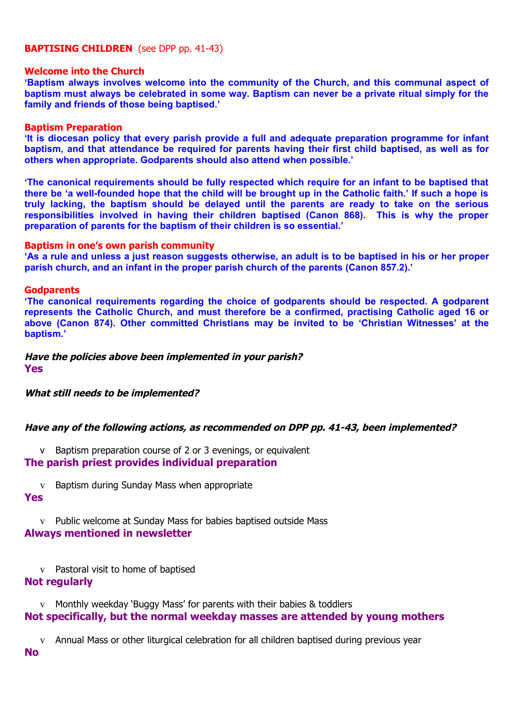#### **BAPTISING CHILDREN** (see DPP pp. 41-43)

#### **Welcome into the Church**

**'Baptism always involves welcome into the community of the Church, and this communal aspect of baptism must always be celebrated in some way. Baptism can never be a private ritual simply for the family and friends of those being baptised.'** 

#### **Baptism Preparation**

**'It is diocesan policy that every parish provide a full and adequate preparation programme for infant baptism, and that attendance be required for parents having their first child baptised, as well as for others when appropriate. Godparents should also attend when possible.'** 

**'The canonical requirements should be fully respected which require for an infant to be baptised that there be 'a well-founded hope that the child will be brought up in the Catholic faith.' If such a hope is truly lacking, the baptism should be delayed until the parents are ready to take on the serious responsibilities involved in having their children baptised (Canon 868). This is why the proper preparation of parents for the baptism of their children is so essential.'**

#### **Baptism in one's own parish community**

**'As a rule and unless a just reason suggests otherwise, an adult is to be baptised in his or her proper parish church, and an infant in the proper parish church of the parents (Canon 857.2).'**

#### **Godparents**

**'The canonical requirements regarding the choice of godparents should be respected. A godparent represents the Catholic Church, and must therefore be a confirmed, practising Catholic aged 16 or above (Canon 874). Other committed Christians may be invited to be 'Christian Witnesses' at the baptism.'**

#### **Have the policies above been implemented in your parish? Yes**

**What still needs to be implemented?**

#### **Have any of the following actions, as recommended on DPP pp. 41-43, been implemented?**

v Baptism preparation course of 2 or 3 evenings, or equivalent

**The parish priest provides individual preparation**

v Baptism during Sunday Mass when appropriate

#### **Yes**

v Public welcome at Sunday Mass for babies baptised outside Mass **Always mentioned in newsletter**

v Pastoral visit to home of baptised

## **Not regularly**

v Monthly weekday 'Buggy Mass' for parents with their babies & toddlers **Not specifically, but the normal weekday masses are attended by young mothers**

v Annual Mass or other liturgical celebration for all children baptised during previous year

**No**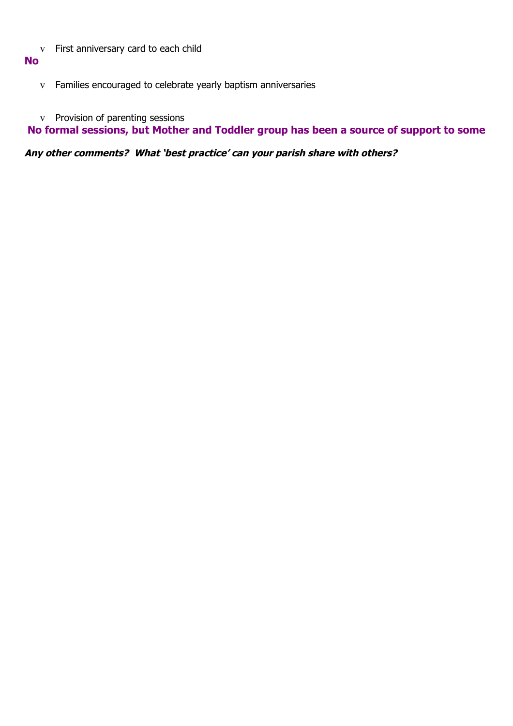v First anniversary card to each child

## **No**

- v Families encouraged to celebrate yearly baptism anniversaries
- v Provision of parenting sessions

 **No formal sessions, but Mother and Toddler group has been a source of support to some**

**Any other comments? What 'best practice' can your parish share with others?**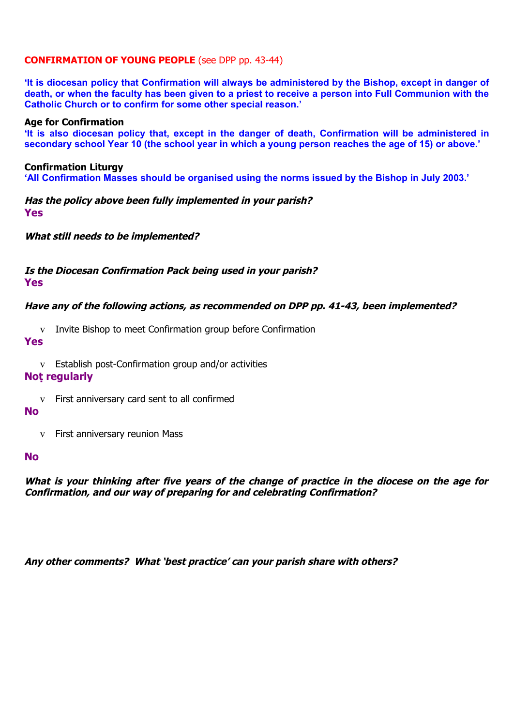## **CONFIRMATION OF YOUNG PEOPLE** (see DPP pp. 43-44)

**'It is diocesan policy that Confirmation will always be administered by the Bishop, except in danger of death, or when the faculty has been given to a priest to receive a person into Full Communion with the Catholic Church or to confirm for some other special reason.'**

#### **Age for Confirmation**

**'It is also diocesan policy that, except in the danger of death, Confirmation will be administered in secondary school Year 10 (the school year in which a young person reaches the age of 15) or above.'**

#### **Confirmation Liturgy**

**'All Confirmation Masses should be organised using the norms issued by the Bishop in July 2003.'**

**Has the policy above been fully implemented in your parish? Yes**

**What still needs to be implemented?**

## **Is the Diocesan Confirmation Pack being used in your parish?**

**Yes**

## **Have any of the following actions, as recommended on DPP pp. 41-43, been implemented?**

v Invite Bishop to meet Confirmation group before Confirmation

#### **Yes**

v Establish post-Confirmation group and/or activities

### **Not regularly**

v First anniversary card sent to all confirmed

#### **No**

v First anniversary reunion Mass

#### **No**

**What is your thinking after five years of the change of practice in the diocese on the age for Confirmation, and our way of preparing for and celebrating Confirmation?**

**Any other comments? What 'best practice' can your parish share with others?**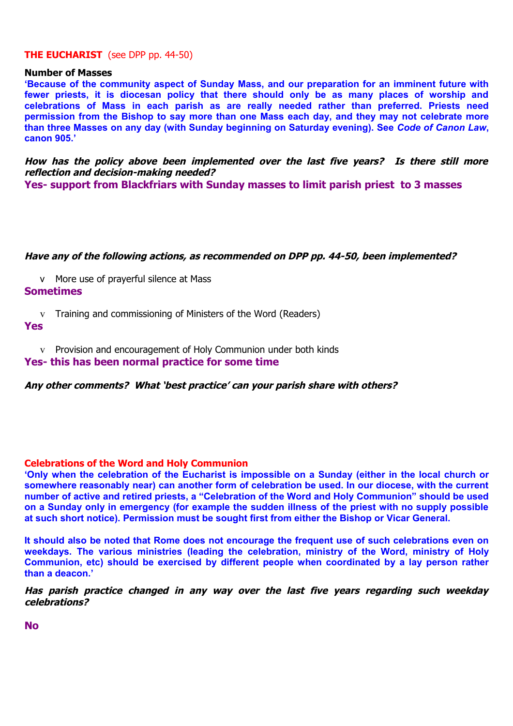#### **THE EUCHARIST** (see DPP pp. 44-50)

#### **Number of Masses**

**'Because of the community aspect of Sunday Mass, and our preparation for an imminent future with fewer priests, it is diocesan policy that there should only be as many places of worship and celebrations of Mass in each parish as are really needed rather than preferred. Priests need permission from the Bishop to say more than one Mass each day, and they may not celebrate more than three Masses on any day (with Sunday beginning on Saturday evening). See** *Code of Canon Law***, canon 905.'** 

**How has the policy above been implemented over the last five years? Is there still more reflection and decision-making needed?**

**Yes- support from Blackfriars with Sunday masses to limit parish priest to 3 masses**

#### **Have any of the following actions, as recommended on DPP pp. 44-50, been implemented?**

v More use of prayerful silence at Mass **Sometimes**

v Training and commissioning of Ministers of the Word (Readers)

**Yes**

v Provision and encouragement of Holy Communion under both kinds

### **Yes- this has been normal practice for some time**

**Any other comments? What 'best practice' can your parish share with others?**

#### **Celebrations of the Word and Holy Communion**

**'Only when the celebration of the Eucharist is impossible on a Sunday (either in the local church or somewhere reasonably near) can another form of celebration be used. In our diocese, with the current number of active and retired priests, a "Celebration of the Word and Holy Communion" should be used on a Sunday only in emergency (for example the sudden illness of the priest with no supply possible at such short notice). Permission must be sought first from either the Bishop or Vicar General.** 

**It should also be noted that Rome does not encourage the frequent use of such celebrations even on weekdays. The various ministries (leading the celebration, ministry of the Word, ministry of Holy Communion, etc) should be exercised by different people when coordinated by a lay person rather than a deacon.'**

Has parish practice changed in any way over the last five vears regarding such weekday **celebrations?**

**No**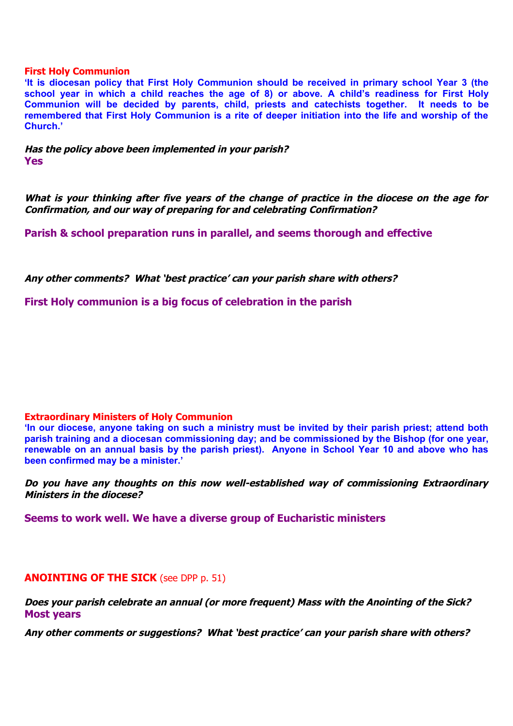#### **First Holy Communion**

**'It is diocesan policy that First Holy Communion should be received in primary school Year 3 (the school year in which a child reaches the age of 8) or above. A child's readiness for First Holy Communion will be decided by parents, child, priests and catechists together. It needs to be remembered that First Holy Communion is a rite of deeper initiation into the life and worship of the Church.'**

**Has the policy above been implemented in your parish? Yes**

**What is your thinking after five years of the change of practice in the diocese on the age for Confirmation, and our way of preparing for and celebrating Confirmation?**

**Parish & school preparation runs in parallel, and seems thorough and effective**

**Any other comments? What 'best practice' can your parish share with others?**

**First Holy communion is a big focus of celebration in the parish**

#### **Extraordinary Ministers of Holy Communion**

**'In our diocese, anyone taking on such a ministry must be invited by their parish priest; attend both parish training and a diocesan commissioning day; and be commissioned by the Bishop (for one year, renewable on an annual basis by the parish priest). Anyone in School Year 10 and above who has been confirmed may be a minister.'** 

**Do you have any thoughts on this now well-established way of commissioning Extraordinary Ministers in the diocese?**

**Seems to work well. We have a diverse group of Eucharistic ministers**

#### **ANOINTING OF THE SICK** (see DPP p. 51)

**Does your parish celebrate an annual (or more frequent) Mass with the Anointing of the Sick? Most years**

**Any other comments or suggestions? What 'best practice' can your parish share with others?**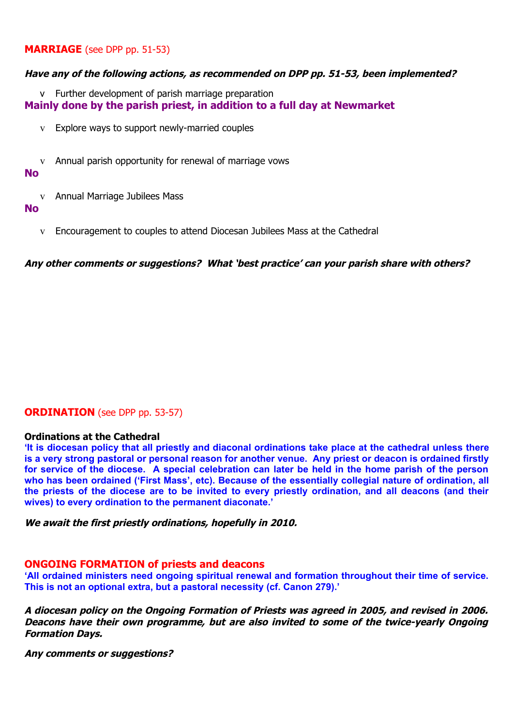## **MARRIAGE** (see DPP pp. 51-53)

#### **Have any of the following actions, as recommended on DPP pp. 51-53, been implemented?**

v Further development of parish marriage preparation **Mainly done by the parish priest, in addition to a full day at Newmarket** 

- v Explore ways to support newly-married couples
- v Annual parish opportunity for renewal of marriage vows

## **No**

v Annual Marriage Jubilees Mass

#### **No**

v Encouragement to couples to attend Diocesan Jubilees Mass at the Cathedral

**Any other comments or suggestions? What 'best practice' can your parish share with others?**

## **ORDINATION** (see DPP pp. 53-57)

#### **Ordinations at the Cathedral**

**'It is diocesan policy that all priestly and diaconal ordinations take place at the cathedral unless there is a very strong pastoral or personal reason for another venue. Any priest or deacon is ordained firstly for service of the diocese. A special celebration can later be held in the home parish of the person who has been ordained ('First Mass', etc). Because of the essentially collegial nature of ordination, all the priests of the diocese are to be invited to every priestly ordination, and all deacons (and their wives) to every ordination to the permanent diaconate.'**

**We await the first priestly ordinations, hopefully in 2010.** 

#### **ONGOING FORMATION of priests and deacons**

**'All ordained ministers need ongoing spiritual renewal and formation throughout their time of service. This is not an optional extra, but a pastoral necessity (cf. Canon 279).'**

**A diocesan policy on the Ongoing Formation of Priests was agreed in 2005, and revised in 2006. Deacons have their own programme, but are also invited to some of the twice-yearly Ongoing Formation Days.**

**Any comments or suggestions?**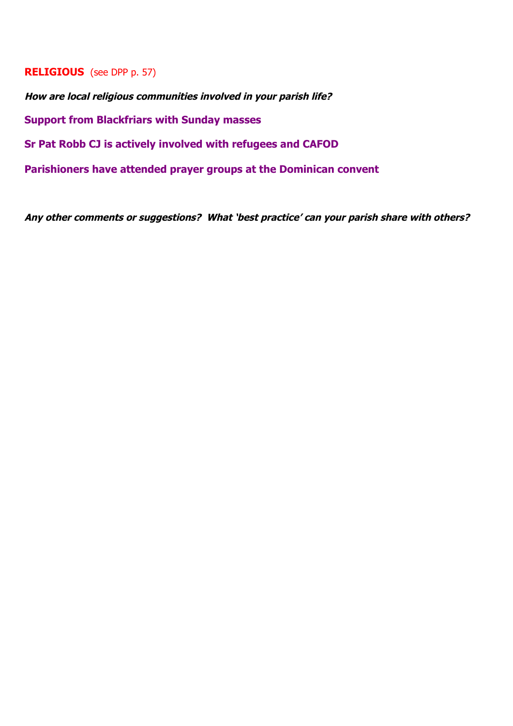## **RELIGIOUS** (see DPP p. 57)

**How are local religious communities involved in your parish life? Support from Blackfriars with Sunday masses Sr Pat Robb CJ is actively involved with refugees and CAFOD Parishioners have attended prayer groups at the Dominican convent**

**Any other comments or suggestions? What 'best practice' can your parish share with others?**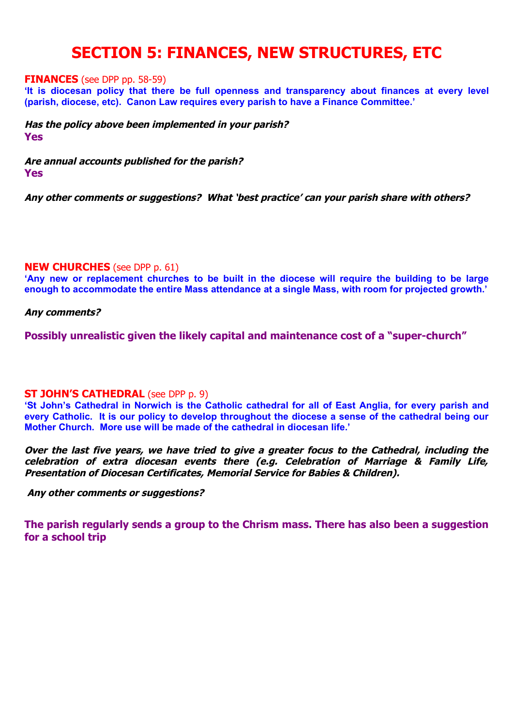# **SECTION 5: FINANCES, NEW STRUCTURES, ETC**

#### **FINANCES** (see DPP pp. 58-59)

**'It is diocesan policy that there be full openness and transparency about finances at every level (parish, diocese, etc). Canon Law requires every parish to have a Finance Committee.'** 

**Has the policy above been implemented in your parish? Yes**

**Are annual accounts published for the parish? Yes**

**Any other comments or suggestions? What 'best practice' can your parish share with others?**

#### **NEW CHURCHES** (see DPP p. 61)

**'Any new or replacement churches to be built in the diocese will require the building to be large enough to accommodate the entire Mass attendance at a single Mass, with room for projected growth.'**

#### **Any comments?**

**Possibly unrealistic given the likely capital and maintenance cost of a "super-church"**

#### **ST JOHN'S CATHEDRAL** (see DPP p. 9)

**'St John's Cathedral in Norwich is the Catholic cathedral for all of East Anglia, for every parish and every Catholic. It is our policy to develop throughout the diocese a sense of the cathedral being our Mother Church. More use will be made of the cathedral in diocesan life.'**

**Over the last five years, we have tried to give a greater focus to the Cathedral, including the** celebration of extra diocesan events there (e.g. Celebration of Marriage & Family Life, **Presentation of Diocesan Certificates, Memorial Service for Babies & Children).**

 **Any other comments or suggestions?** 

**The parish regularly sends a group to the Chrism mass. There has also been a suggestion for a school trip**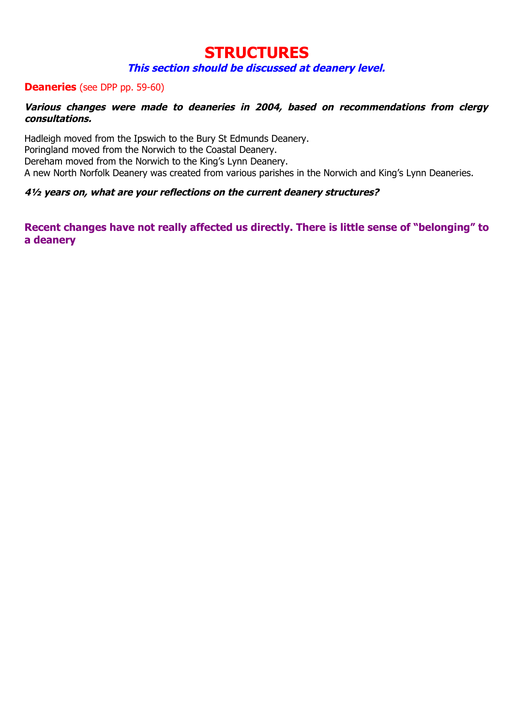# **STRUCTURES**

## **This section should be discussed at deanery level.**

## **Deaneries** (see DPP pp. 59-60)

## Various changes were made to deaneries in 2004, based on recommendations from clergy **consultations.**

Hadleigh moved from the Ipswich to the Bury St Edmunds Deanery. Poringland moved from the Norwich to the Coastal Deanery. Dereham moved from the Norwich to the King's Lynn Deanery. A new North Norfolk Deanery was created from various parishes in the Norwich and King's Lynn Deaneries.

## **4½ years on, what are your reflections on the current deanery structures?**

**Recent changes have not really affected us directly. There is little sense of "belonging" to a deanery**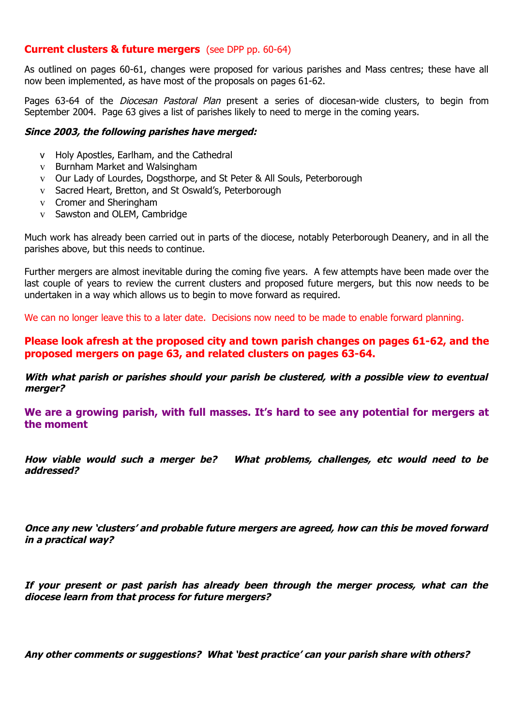## **Current clusters & future mergers** (see DPP pp. 60-64)

As outlined on pages 60-61, changes were proposed for various parishes and Mass centres; these have all now been implemented, as have most of the proposals on pages 61-62.

Pages 63-64 of the *Diocesan Pastoral Plan* present a series of diocesan-wide clusters, to begin from September 2004. Page 63 gives a list of parishes likely to need to merge in the coming years.

#### **Since 2003, the following parishes have merged:**

- v Holy Apostles, Earlham, and the Cathedral
- v Burnham Market and Walsingham
- v Our Lady of Lourdes, Dogsthorpe, and St Peter & All Souls, Peterborough
- v Sacred Heart, Bretton, and St Oswald's, Peterborough
- v Cromer and Sheringham
- v Sawston and OLEM, Cambridge

Much work has already been carried out in parts of the diocese, notably Peterborough Deanery, and in all the parishes above, but this needs to continue.

Further mergers are almost inevitable during the coming five years. A few attempts have been made over the last couple of years to review the current clusters and proposed future mergers, but this now needs to be undertaken in a way which allows us to begin to move forward as required.

We can no longer leave this to a later date. Decisions now need to be made to enable forward planning.

**Please look afresh at the proposed city and town parish changes on pages 61-62, and the proposed mergers on page 63, and related clusters on pages 63-64.**

**With what parish or parishes should your parish be clustered, with a possible view to eventual merger?**

**We are a growing parish, with full masses. It's hard to see any potential for mergers at the moment**

How viable would such a merger be? What problems, challenges, etc would need to be **addressed?**

**Once any new 'clusters' and probable future mergers are agreed, how can this be moved forward in a practical way?**

**If your present or past parish has already been through the merger process, what can the diocese learn from that process for future mergers?**

**Any other comments or suggestions? What 'best practice' can your parish share with others?**